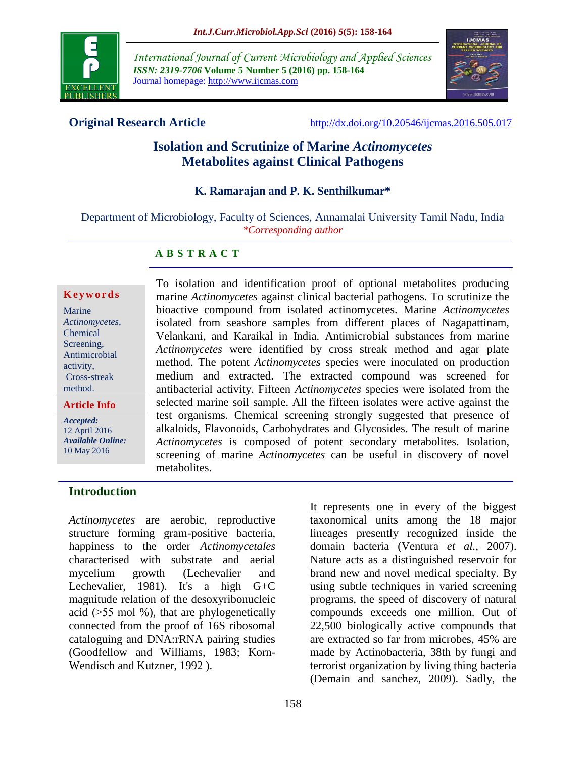

*International Journal of Current Microbiology and Applied Sciences ISSN: 2319-7706* **Volume 5 Number 5 (2016) pp. 158-164** Journal homepage: http://www.ijcmas.com



**Original Research Article** <http://dx.doi.org/10.20546/ijcmas.2016.505.017>

# **Isolation and Scrutinize of Marine** *Actinomycetes* **Metabolites against Clinical Pathogens**

#### **K. Ramarajan and P. K. Senthilkumar\***

Department of Microbiology, Faculty of Sciences, Annamalai University Tamil Nadu, India *\*Corresponding author*

### **A B S T R A C T**

#### **K e y w o r d s**

| <b>Article Info</b> |
|---------------------|
| method.             |
| Cross-streak        |
| activity,           |
| Antimicrobial       |
| Screening,          |
| Chemical            |
| Actinomycetes,      |
| Marine              |
|                     |

*Accepted:*  12 April 2016 *Available Online:* 10 May 2016

To isolation and identification proof of optional metabolites producing marine *Actinomycetes* against clinical bacterial pathogens. To scrutinize the bioactive compound from isolated actinomycetes. Marine *Actinomycetes* isolated from seashore samples from different places of Nagapattinam, Velankani, and Karaikal in India. Antimicrobial substances from marine *Actinomycetes* were identified by cross streak method and agar plate method. The potent *Actinomycetes* species were inoculated on production medium and extracted. The extracted compound was screened for antibacterial activity. Fifteen *Actinomycetes* species were isolated from the selected marine soil sample. All the fifteen isolates were active against the test organisms. Chemical screening strongly suggested that presence of alkaloids, Flavonoids, Carbohydrates and Glycosides. The result of marine *Actinomycetes* is composed of potent secondary metabolites. Isolation, screening of marine *Actinomycetes* can be useful in discovery of novel metabolites.

#### **Introduction**

*Actinomycetes* are aerobic, reproductive structure forming gram-positive bacteria, happiness to the order *Actinomycetales* characterised with substrate and aerial mycelium growth (Lechevalier and Lechevalier, 1981). It's a high G+C magnitude relation of the desoxyribonucleic acid ( $>55$  mol %), that are phylogenetically connected from the proof of 16S ribosomal cataloguing and DNA:rRNA pairing studies (Goodfellow and Williams, 1983; Korn-Wendisch and Kutzner, 1992 ).

It represents one in every of the biggest taxonomical units among the 18 major lineages presently recognized inside the domain bacteria (Ventura *et al.,* 2007). Nature acts as a distinguished reservoir for brand new and novel medical specialty. By using subtle techniques in varied screening programs, the speed of discovery of natural compounds exceeds one million. Out of 22,500 biologically active compounds that are extracted so far from microbes, 45% are made by Actinobacteria, 38th by fungi and terrorist organization by living thing bacteria (Demain and sanchez, 2009). Sadly, the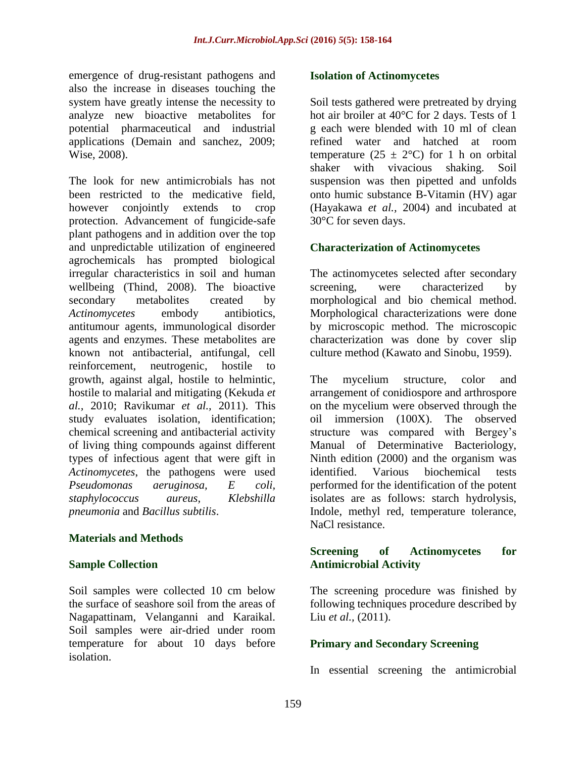emergence of drug-resistant pathogens and also the increase in diseases touching the system have greatly intense the necessity to analyze new bioactive metabolites for potential pharmaceutical and industrial applications (Demain and sanchez, 2009; Wise, 2008).

The look for new antimicrobials has not been restricted to the medicative field, however conjointly extends to crop protection. Advancement of fungicide-safe plant pathogens and in addition over the top and unpredictable utilization of engineered agrochemicals has prompted biological irregular characteristics in soil and human wellbeing (Thind, 2008). The bioactive secondary metabolites created by *Actinomycetes* embody antibiotics, antitumour agents, immunological disorder agents and enzymes. These metabolites are known not antibacterial, antifungal, cell reinforcement, neutrogenic, hostile to growth, against algal, hostile to helmintic, hostile to malarial and mitigating (Kekuda *et al.,* 2010; Ravikumar *et al.,* 2011). This study evaluates isolation, identification; chemical screening and antibacterial activity of living thing compounds against different types of infectious agent that were gift in *Actinomycetes*, the pathogens were used *Pseudomonas aeruginosa, E coli, staphylococcus aureus, Klebshilla pneumonia* and *Bacillus subtilis*.

#### **Materials and Methods**

#### **Sample Collection**

Soil samples were collected 10 cm below the surface of seashore soil from the areas of Nagapattinam, Velanganni and Karaikal. Soil samples were air-dried under room temperature for about 10 days before isolation.

#### **Isolation of Actinomycetes**

Soil tests gathered were pretreated by drying hot air broiler at 40°C for 2 days. Tests of 1 g each were blended with 10 ml of clean refined water and hatched at room temperature  $(25 \pm 2$ °C) for 1 h on orbital shaker with vivacious shaking. Soil suspension was then pipetted and unfolds onto humic substance B-Vitamin (HV) agar (Hayakawa *et al.,* 2004) and incubated at 30°C for seven days.

#### **Characterization of Actinomycetes**

The actinomycetes selected after secondary screening, were characterized by morphological and bio chemical method. Morphological characterizations were done by microscopic method. The microscopic characterization was done by cover slip culture method (Kawato and Sinobu, 1959).

The mycelium structure, color and arrangement of conidiospore and arthrospore on the mycelium were observed through the oil immersion (100X). The observed structure was compared with Bergey's Manual of Determinative Bacteriology, Ninth edition (2000) and the organism was identified. Various biochemical tests performed for the identification of the potent isolates are as follows: starch hydrolysis, Indole, methyl red, temperature tolerance, NaCl resistance.

#### **Screening of Actinomycetes for Antimicrobial Activity**

The screening procedure was finished by following techniques procedure described by Liu *et al.,* (2011).

#### **Primary and Secondary Screening**

In essential screening the antimicrobial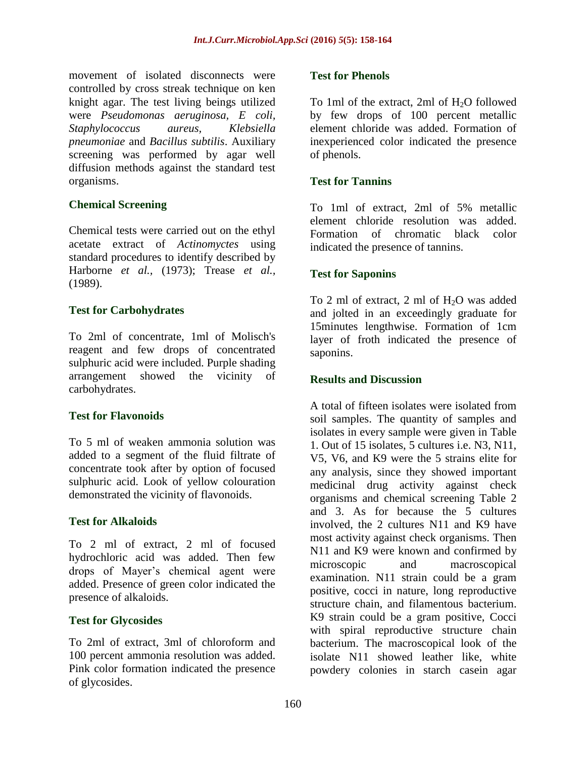movement of isolated disconnects were controlled by cross streak technique on ken knight agar. The test living beings utilized were *Pseudomonas aeruginosa, E coli, Staphylococcus aureus, Klebsiella pneumoniae* and *Bacillus subtilis*. Auxiliary screening was performed by agar well diffusion methods against the standard test organisms.

#### **Chemical Screening**

Chemical tests were carried out on the ethyl acetate extract of *Actinomyctes* using standard procedures to identify described by Harborne *et al.,* (1973); Trease *et al.,* (1989).

### **Test for Carbohydrates**

To 2ml of concentrate, 1ml of Molisch's reagent and few drops of concentrated sulphuric acid were included. Purple shading arrangement showed the vicinity of carbohydrates.

#### **Test for Flavonoids**

To 5 ml of weaken ammonia solution was added to a segment of the fluid filtrate of concentrate took after by option of focused sulphuric acid. Look of yellow colouration demonstrated the vicinity of flavonoids.

#### **Test for Alkaloids**

To 2 ml of extract, 2 ml of focused hydrochloric acid was added. Then few drops of Mayer's chemical agent were added. Presence of green color indicated the presence of alkaloids.

# **Test for Glycosides**

To 2ml of extract, 3ml of chloroform and 100 percent ammonia resolution was added. Pink color formation indicated the presence of glycosides.

#### **Test for Phenols**

To 1ml of the extract, 2ml of  $H_2O$  followed by few drops of 100 percent metallic element chloride was added. Formation of inexperienced color indicated the presence of phenols.

#### **Test for Tannins**

To 1ml of extract, 2ml of 5% metallic element chloride resolution was added. Formation of chromatic black color indicated the presence of tannins.

#### **Test for Saponins**

To 2 ml of extract, 2 ml of  $H<sub>2</sub>O$  was added and jolted in an exceedingly graduate for 15minutes lengthwise. Formation of 1cm layer of froth indicated the presence of saponins.

#### **Results and Discussion**

A total of fifteen isolates were isolated from soil samples. The quantity of samples and isolates in every sample were given in Table 1. Out of 15 isolates, 5 cultures i.e. N3, N11, V5, V6, and K9 were the 5 strains elite for any analysis, since they showed important medicinal drug activity against check organisms and chemical screening Table 2 and 3. As for because the 5 cultures involved, the 2 cultures N11 and K9 have most activity against check organisms. Then N11 and K9 were known and confirmed by microscopic and macroscopical examination. N11 strain could be a gram positive, cocci in nature, long reproductive structure chain, and filamentous bacterium. K9 strain could be a gram positive, Cocci with spiral reproductive structure chain bacterium. The macroscopical look of the isolate N11 showed leather like, white powdery colonies in starch casein agar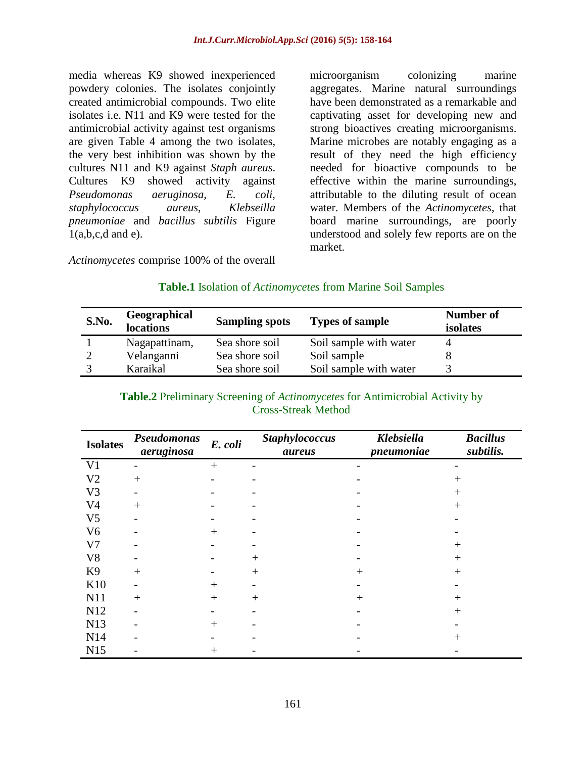media whereas K9 showed inexperienced powdery colonies. The isolates conjointly created antimicrobial compounds. Two elite isolates i.e. N11 and K9 were tested for the antimicrobial activity against test organisms are given Table 4 among the two isolates, the very best inhibition was shown by the cultures N11 and K9 against *Staph aureus*. Cultures K9 showed activity against *Pseudomonas aeruginosa, E. coli, staphylococcus aureus, Klebseilla pneumoniae* and *bacillus subtilis* Figure  $1(a,b,c,d \text{ and } e)$ .

microorganism colonizing marine aggregates. Marine natural surroundings have been demonstrated as a remarkable and captivating asset for developing new and strong bioactives creating microorganisms. Marine microbes are notably engaging as a result of they need the high efficiency needed for bioactive compounds to be effective within the marine surroundings, attributable to the diluting result of ocean water. Members of the *Actinomycetes*, that board marine surroundings, are poorly understood and solely few reports are on the market.

*Actinomycetes* comprise 100% of the overall

# **Table.1** Isolation of *Actinomycetes* from Marine Soil Samples

| S.No. | Geographical<br>locations | <b>Sampling spots</b> | <b>Types of sample</b> | Number of<br>isolates |
|-------|---------------------------|-----------------------|------------------------|-----------------------|
|       | Nagapattinam,             | Sea shore soil        | Soil sample with water |                       |
|       | Velanganni                | Sea shore soil        | Soil sample            |                       |
|       | Karaikal                  | Sea shore soil        | Soil sample with water |                       |

| <b>Table.2</b> Preliminary Screening of <i>Actinomycetes</i> for Antimicrobial Activity by |
|--------------------------------------------------------------------------------------------|
| <b>Cross-Streak Method</b>                                                                 |

| <b>Isolates</b> | Pseudomonas<br>aeruginosa | E. coli | <b>Staphylococcus</b><br>aureus | Klebsiella<br>pneumoniae | <b>Bacillus</b><br>subtilis. |  |  |  |  |
|-----------------|---------------------------|---------|---------------------------------|--------------------------|------------------------------|--|--|--|--|
| V <sub>1</sub>  |                           | $+$     |                                 |                          |                              |  |  |  |  |
| V <sub>2</sub>  | $^{+}$                    |         |                                 |                          | $^{+}$                       |  |  |  |  |
| V <sub>3</sub>  |                           |         |                                 |                          | $^{+}$                       |  |  |  |  |
| V <sub>4</sub>  | $+$                       |         |                                 |                          | $+$                          |  |  |  |  |
| V <sub>5</sub>  |                           |         |                                 |                          |                              |  |  |  |  |
| V <sub>6</sub>  |                           | $+$     |                                 |                          |                              |  |  |  |  |
| V7              |                           |         |                                 |                          | $+$                          |  |  |  |  |
| V <sub>8</sub>  |                           |         | $^{+}$                          |                          | $^{+}$                       |  |  |  |  |
| K <sub>9</sub>  | $^{+}$                    |         | $^{+}$                          | $^{+}$                   | $+$                          |  |  |  |  |
| K10             |                           | $^{+}$  |                                 |                          |                              |  |  |  |  |
| N11             | $+$                       | $+$     | $^{+}$                          | $^{+}$                   | $^{+}$                       |  |  |  |  |
| N12             |                           |         |                                 |                          | $+$                          |  |  |  |  |
| N13             |                           | $^{+}$  |                                 |                          |                              |  |  |  |  |
| N <sub>14</sub> |                           |         |                                 |                          | $^{+}$                       |  |  |  |  |
| N15             |                           | $^{+}$  |                                 |                          |                              |  |  |  |  |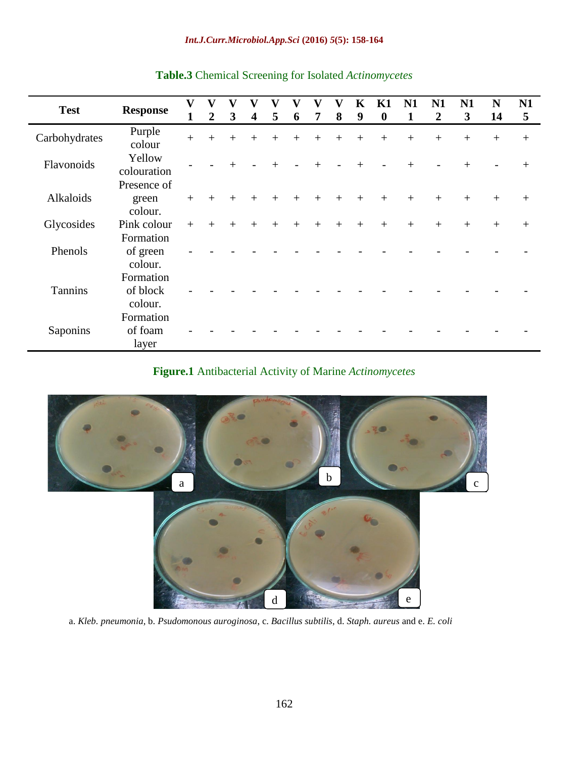| <b>Test</b>    | <b>Response</b>       | $\overline{\mathbf{V}}$ | V              | v                       |                         | V      | V   | V   | V   | K               | K1               | N1  | N <sub>1</sub>   | N1     | N      | N <sub>1</sub> |
|----------------|-----------------------|-------------------------|----------------|-------------------------|-------------------------|--------|-----|-----|-----|-----------------|------------------|-----|------------------|--------|--------|----------------|
|                |                       | $\mathbf{1}$            | $\overline{2}$ | $\overline{\mathbf{3}}$ | $\overline{\mathbf{4}}$ | 5      | 6   | 7   | 8   | 9               | $\boldsymbol{0}$ | 1   | $\boldsymbol{2}$ | 3      | 14     | 5              |
| Carbohydrates  | Purple<br>colour      | $+$                     | $+$            | $+$                     | $+$                     | $+$    | $+$ | $+$ | $+$ | $+$             | $+$              | $+$ | $+$              | $+$    | $+$    | $+$            |
| Flavonoids     | Yellow<br>colouration |                         |                | $+$                     |                         | $^{+}$ |     | $+$ |     | $+$             |                  | $+$ |                  | $^{+}$ |        | $^{+}$         |
|                | Presence of           |                         |                |                         |                         |        |     |     |     |                 |                  |     |                  |        |        |                |
| Alkaloids      | green                 | $+$                     | $+$            | $+$                     | $+$                     | $+$    | $+$ | $+$ | $+$ | $+$             | $+$              | $+$ | $+$              | $+$    | $+$    | $+$            |
|                | colour.               |                         |                |                         |                         |        |     |     |     |                 |                  |     |                  |        |        |                |
| Glycosides     | Pink colour           | $+$                     | $+$            | $+$                     | $+$                     | $^{+}$ | $+$ | $+$ | $+$ | $\! + \!\!\!\!$ | $^{+}$           | $+$ | $+$              | $^{+}$ | $^{+}$ | $^{+}$         |
|                | Formation             |                         |                |                         |                         |        |     |     |     |                 |                  |     |                  |        |        |                |
| Phenols        | of green              |                         |                |                         |                         |        |     |     |     |                 |                  |     |                  |        |        |                |
|                | colour.               |                         |                |                         |                         |        |     |     |     |                 |                  |     |                  |        |        |                |
|                | Formation             |                         |                |                         |                         |        |     |     |     |                 |                  |     |                  |        |        |                |
| <b>Tannins</b> | of block              |                         |                |                         |                         |        |     |     |     |                 |                  |     |                  |        |        |                |
|                | colour.               |                         |                |                         |                         |        |     |     |     |                 |                  |     |                  |        |        |                |
|                | Formation             |                         |                |                         |                         |        |     |     |     |                 |                  |     |                  |        |        |                |
| Saponins       | of foam               |                         |                |                         |                         |        |     |     |     |                 |                  |     |                  |        |        |                |
|                | layer                 |                         |                |                         |                         |        |     |     |     |                 |                  |     |                  |        |        |                |

## **Table.3** Chemical Screening for Isolated *Actinomycetes*

# **Figure.1** Antibacterial Activity of Marine *Actinomycetes*



a. *Kleb. pneumonia,* b. *Psudomonous auroginosa*, c. *Bacillus subtilis*, d. *Staph. aureus* and e. *E. coli*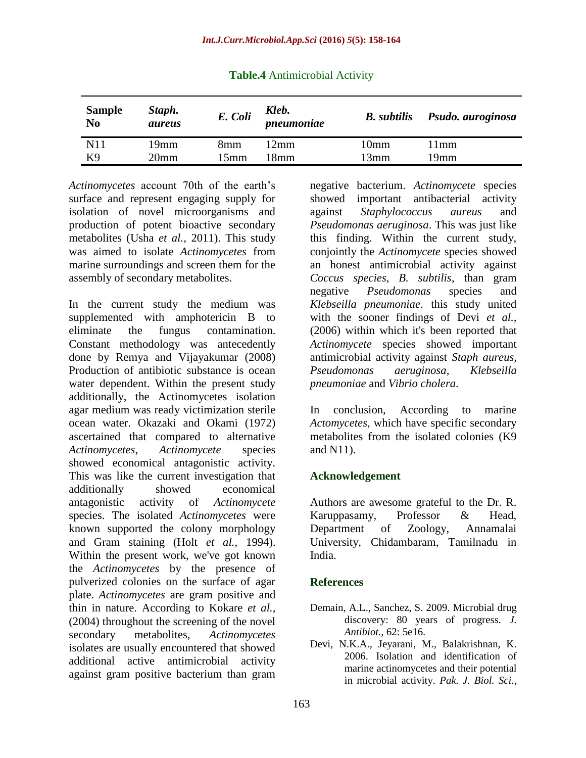| <b>Sample</b><br>N <sub>0</sub> | Staph.<br>aureus | E. Coli | Kleb.<br>pneumoniae | <b>B.</b> subtilis | Psudo. auroginosa |
|---------------------------------|------------------|---------|---------------------|--------------------|-------------------|
| N11                             | 19mm             | 8mm     | 12mm                | 10mm               | 11mm              |
| K9                              | 20 <sub>mm</sub> | 15mm    | 18mm                | 13mm               | 19mm              |

**Table.4** Antimicrobial Activity

*Actinomycetes* account 70th of the earth's surface and represent engaging supply for isolation of novel microorganisms and production of potent bioactive secondary metabolites (Usha *et al.,* 2011). This study was aimed to isolate *Actinomycetes* from marine surroundings and screen them for the assembly of secondary metabolites.

In the current study the medium was supplemented with amphotericin B to eliminate the fungus contamination. Constant methodology was antecedently done by Remya and Vijayakumar (2008) Production of antibiotic substance is ocean water dependent. Within the present study additionally, the Actinomycetes isolation agar medium was ready victimization sterile ocean water. Okazaki and Okami (1972) ascertained that compared to alternative *Actinomycetes*, *Actinomycete* species showed economical antagonistic activity. This was like the current investigation that additionally showed economical antagonistic activity of *Actinomycete* species. The isolated *Actinomycetes* were known supported the colony morphology and Gram staining (Holt *et al.,* 1994). Within the present work, we've got known the *Actinomycetes* by the presence of pulverized colonies on the surface of agar plate. *Actinomycetes* are gram positive and thin in nature. According to Kokare *et al.,* (2004) throughout the screening of the novel secondary metabolites, *Actinomycetes* isolates are usually encountered that showed additional active antimicrobial activity against gram positive bacterium than gram

negative bacterium. *Actinomycete* species showed important antibacterial activity against *Staphylococcus aureus* and *Pseudomonas aeruginosa*. This was just like this finding. Within the current study, conjointly the *Actinomycete* species showed an honest antimicrobial activity against *Coccus species, B. subtilis*, than gram negative *Pseudomonas* species and *Klebseilla pneumoniae*. this study united with the sooner findings of Devi *et al.,* (2006) within which it's been reported that *Actinomycete* species showed important antimicrobial activity against *Staph aureus, Pseudomonas aeruginosa, Klebseilla pneumoniae* and *Vibrio cholera*.

In conclusion, According to marine *Actomycetes*, which have specific secondary metabolites from the isolated colonies (K9 and N11).

#### **Acknowledgement**

Authors are awesome grateful to the Dr. R. Karuppasamy, Professor & Head, Department of Zoology, Annamalai University, Chidambaram, Tamilnadu in India.

#### **References**

- Demain, A.L., Sanchez, S. 2009. Microbial drug discovery: 80 years of progress. *J. Antibiot.,* 62: 5e16.
- Devi, N.K.A., Jeyarani, M., Balakrishnan, K. 2006. Isolation and identification of marine actinomycetes and their potential in microbial activity. *Pak. J. Biol. Sci.,*